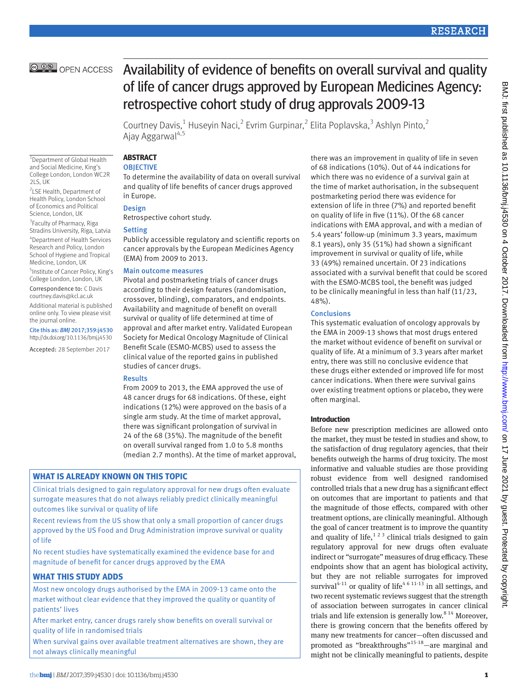

1 Department of Global Health and Social Medicine, King's College London, London WC2R

<sup>2</sup>LSE Health, Department of Health Policy, London School of Economics and Political Science, London, UK <sup>3</sup> Faculty of Pharmacy, Riga Stradins University, Riga, Latvia 4 Department of Health Services Research and Policy, London School of Hygiene and Tropical Medicine, London, UK 5 Institute of Cancer Policy, King's College London, London, UK Correspondence to: C Davis courtney.davis@kcl.ac.uk Additional material is published online only. To view please visit

the journal online.

Cite this as: *BMJ* 2017;359:j4530 http://dx.doi.org/10.1136/bmj.j4530 Accepted: 28 September 2017

2LS, UK

# Availability of evidence of benefits on overall survival and quality of life of cancer drugs approved by European Medicines Agency: retrospective cohort study of drug approvals 2009-13

Courtney Davis,<sup>1</sup> Huseyin Naci,<sup>2</sup> Evrim Gurpinar,<sup>2</sup> Elita Poplavska,<sup>3</sup> Ashlyn Pinto,<sup>2</sup> Ajay Aggarwal<sup>4,5</sup>

## **ABSTRACT**

**OBJECTIVE** 

To determine the availability of data on overall survival and quality of life benefits of cancer drugs approved in Europe.

## Design

Retrospective cohort study.

## **Setting**

Publicly accessible regulatory and scientific reports on cancer approvals by the European Medicines Agency (EMA) from 2009 to 2013.

## Main outcome measures

Pivotal and postmarketing trials of cancer drugs according to their design features (randomisation, crossover, blinding), comparators, and endpoints. Availability and magnitude of benefit on overall survival or quality of life determined at time of approval and after market entry. Validated European Society for Medical Oncology Magnitude of Clinical Benefit Scale (ESMO-MCBS) used to assess the clinical value of the reported gains in published studies of cancer drugs.

## Results

From 2009 to 2013, the EMA approved the use of 48 cancer drugs for 68 indications. Of these, eight indications (12%) were approved on the basis of a single arm study. At the time of market approval, there was significant prolongation of survival in 24 of the 68 (35%). The magnitude of the benefit on overall survival ranged from 1.0 to 5.8 months (median 2.7 months). At the time of market approval,

## **What is already known on this topic**

Clinical trials designed to gain regulatory approval for new drugs often evaluate surrogate measures that do not always reliably predict clinically meaningful outcomes like survival or quality of life

Recent reviews from the US show that only a small proportion of cancer drugs approved by the US Food and Drug Administration improve survival or quality of life

No recent studies have systematically examined the evidence base for and magnitude of benefit for cancer drugs approved by the EMA

## **What this study adds**

Most new oncology drugs authorised by the EMA in 2009-13 came onto the market without clear evidence that they improved the quality or quantity of patients' lives

After market entry, cancer drugs rarely show benefits on overall survival or quality of life in randomised trials

When survival gains over available treatment alternatives are shown, they are not always clinically meaningful

there was an improvement in quality of life in seven of 68 indications (10%). Out of 44 indications for which there was no evidence of a survival gain at the time of market authorisation, in the subsequent postmarketing period there was evidence for extension of life in three (7%) and reported benefit on quality of life in five (11%). Of the 68 cancer indications with EMA approval, and with a median of 5.4 years' follow-up (minimum 3.3 years, maximum 8.1 years), only 35 (51%) had shown a significant improvement in survival or quality of life, while 33 (49%) remained uncertain. Of 23 indications associated with a survival benefit that could be scored with the ESMO-MCBS tool, the benefit was judged to be clinically meaningful in less than half (11/23, 48%).

## Conclusions

This systematic evaluation of oncology approvals by the EMA in 2009-13 shows that most drugs entered the market without evidence of benefit on survival or quality of life. At a minimum of 3.3 years after market entry, there was still no conclusive evidence that these drugs either extended or improved life for most cancer indications. When there were survival gains over existing treatment options or placebo, they were often marginal.

## **Introduction**

Before new prescription medicines are allowed onto the market, they must be tested in studies and show, to the satisfaction of drug regulatory agencies, that their benefits outweigh the harms of drug toxicity. The most informative and valuable studies are those providing robust evidence from well designed randomised controlled trials that a new drug has a significant effect on outcomes that are important to patients and that the magnitude of those effects, compared with other treatment options, are clinically meaningful. Although the goal of cancer treatment is to improve the quantity and quality of life, $123$  clinical trials designed to gain regulatory approval for new drugs often evaluate indirect or "surrogate" measures of drug efficacy. These endpoints show that an agent has biological activity, but they are not reliable surrogates for improved survival<sup>4-11</sup> or quality of life<sup>4 6 11-13</sup> in all settings, and two recent systematic reviews suggest that the strength of association between surrogates in cancer clinical trials and life extension is generally low.<sup>8 14</sup> Moreover, there is growing concern that the benefits offered by many new treatments for cancer—often discussed and promoted as "breakthroughs"<sup>15-18</sup>-are marginal and might not be clinically meaningful to patients, despite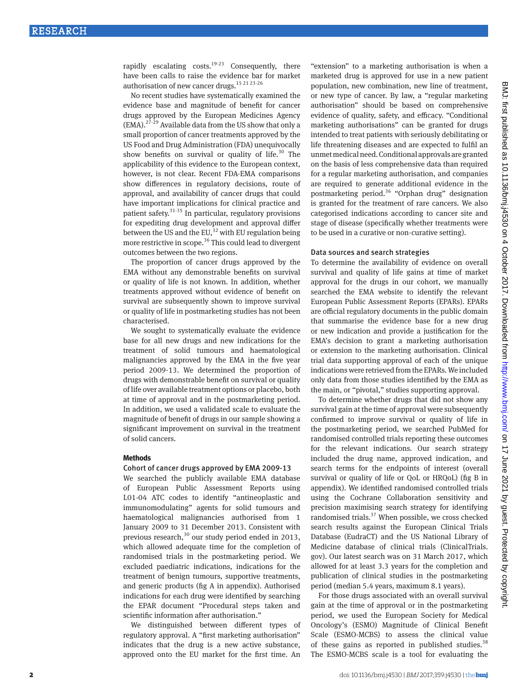rapidly escalating costs.<sup>19-23</sup> Consequently, there have been calls to raise the evidence bar for market authorisation of new cancer drugs.15 21 23-26

No recent studies have systematically examined the evidence base and magnitude of benefit for cancer drugs approved by the European Medicines Agency  $(EMA).^{27-29}$  Available data from the US show that only a small proportion of cancer treatments approved by the US Food and Drug Administration (FDA) unequivocally show benefits on survival or quality of life.<sup>30</sup> The applicability of this evidence to the European context, however, is not clear. Recent FDA-EMA comparisons show differences in regulatory decisions, route of approval, and availability of cancer drugs that could have important implications for clinical practice and patient safety. $31-35$  In particular, regulatory provisions for expediting drug development and approval differ between the US and the EU,<sup>32</sup> with EU regulation being more restrictive in scope.<sup>36</sup> This could lead to divergent outcomes between the two regions.

The proportion of cancer drugs approved by the EMA without any demonstrable benefits on survival or quality of life is not known. In addition, whether treatments approved without evidence of benefit on survival are subsequently shown to improve survival or quality of life in postmarketing studies has not been characterised.

We sought to systematically evaluate the evidence base for all new drugs and new indications for the treatment of solid tumours and haematological malignancies approved by the EMA in the five year period 2009-13. We determined the proportion of drugs with demonstrable benefit on survival or quality of life over available treatment options or placebo, both at time of approval and in the postmarketing period. In addition, we used a validated scale to evaluate the magnitude of benefit of drugs in our sample showing a significant improvement on survival in the treatment of solid cancers.

#### **Methods**

#### Cohort of cancer drugs approved by EMA 2009-13

We searched the publicly available EMA database of European Public Assessment Reports using L01-04 ATC codes to identify "antineoplastic and immunomodulating" agents for solid tumours and haematological malignancies authorised from 1 January 2009 to 31 December 2013. Consistent with previous research,<sup>30</sup> our study period ended in 2013, which allowed adequate time for the completion of randomised trials in the postmarketing period. We excluded paediatric indications, indications for the treatment of benign tumours, supportive treatments, and generic products (fig A in appendix). Authorised indications for each drug were identified by searching the EPAR document "Procedural steps taken and scientific information after authorisation."

We distinguished between different types of regulatory approval. A "first marketing authorisation" indicates that the drug is a new active substance, approved onto the EU market for the first time. An "extension" to a marketing authorisation is when a marketed drug is approved for use in a new patient population, new combination, new line of treatment, or new type of cancer. By law, a "regular marketing authorisation" should be based on comprehensive evidence of quality, safety, and efficacy. "Conditional marketing authorisations" can be granted for drugs intended to treat patients with seriously debilitating or life threatening diseases and are expected to fulfil an unmet medical need. Conditional approvals are granted on the basis of less comprehensive data than required for a regular marketing authorisation, and companies are required to generate additional evidence in the postmarketing period.<sup>36</sup> "Orphan drug" designation is granted for the treatment of rare cancers. We also categorised indications according to cancer site and stage of disease (specifically whether treatments were to be used in a curative or non-curative setting).

#### Data sources and search strategies

To determine the availability of evidence on overall survival and quality of life gains at time of market approval for the drugs in our cohort, we manually searched the EMA website to identify the relevant European Public Assessment Reports (EPARs). EPARs are official regulatory documents in the public domain that summarise the evidence base for a new drug or new indication and provide a justification for the EMA's decision to grant a marketing authorisation or extension to the marketing authorisation. Clinical trial data supporting approval of each of the unique indications were retrieved from the EPARs. We included only data from those studies identified by the EMA as the main, or "pivotal," studies supporting approval.

To determine whether drugs that did not show any survival gain at the time of approval were subsequently confirmed to improve survival or quality of life in the postmarketing period, we searched PubMed for randomised controlled trials reporting these outcomes for the relevant indications. Our search strategy included the drug name, approved indication, and search terms for the endpoints of interest (overall survival or quality of life or QoL or HRQoL) (fig B in appendix). We identified randomised controlled trials using the Cochrane Collaboration sensitivity and precision maximising search strategy for identifying randomised trials.<sup>37</sup> When possible, we cross checked search results against the European Clinical Trials Database (EudraCT) and the US National Library of Medicine database of clinical trials (ClinicalTrials. gov). Our latest search was on 31 March 2017, which allowed for at least 3.3 years for the completion and publication of clinical studies in the postmarketing period (median 5.4 years, maximum 8.1 years).

For those drugs associated with an overall survival gain at the time of approval or in the postmarketing period, we used the European Society for Medical Oncology's (ESMO) Magnitude of Clinical Benefit Scale (ESMO-MCBS) to assess the clinical value of these gains as reported in published studies. $38$ The ESMO-MCBS scale is a tool for evaluating the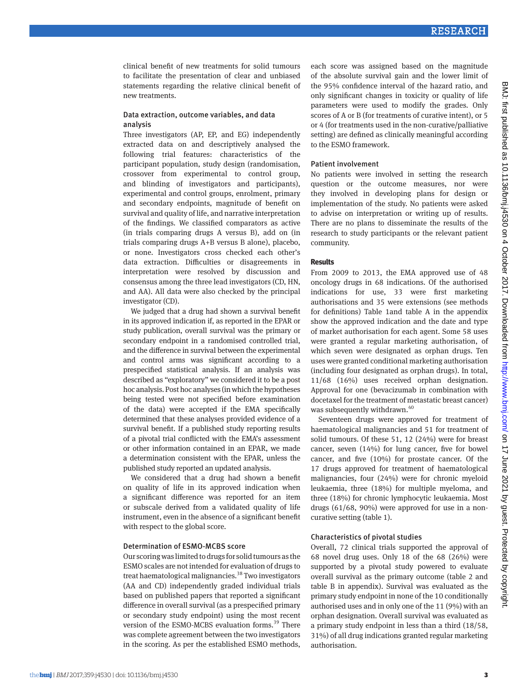clinical benefit of new treatments for solid tumours to facilitate the presentation of clear and unbiased statements regarding the relative clinical benefit of new treatments.

## Data extraction, outcome variables, and data analysis

Three investigators (AP, EP, and EG) independently extracted data on and descriptively analysed the following trial features: characteristics of the participant population, study design (randomisation, crossover from experimental to control group, and blinding of investigators and participants), experimental and control groups, enrolment, primary and secondary endpoints, magnitude of benefit on survival and quality of life, and narrative interpretation of the findings. We classified comparators as active (in trials comparing drugs A versus B), add on (in trials comparing drugs A+B versus B alone), placebo, or none. Investigators cross checked each other's data extraction. Difficulties or disagreements in interpretation were resolved by discussion and consensus among the three lead investigators (CD, HN, and AA). All data were also checked by the principal investigator (CD).

We judged that a drug had shown a survival benefit in its approved indication if, as reported in the EPAR or study publication, overall survival was the primary or secondary endpoint in a randomised controlled trial, and the difference in survival between the experimental and control arms was significant according to a prespecified statistical analysis. If an analysis was described as "exploratory" we considered it to be a post hoc analysis. Post hoc analyses (in which the hypotheses being tested were not specified before examination of the data) were accepted if the EMA specifically determined that these analyses provided evidence of a survival benefit. If a published study reporting results of a pivotal trial conflicted with the EMA's assessment or other information contained in an EPAR, we made a determination consistent with the EPAR, unless the published study reported an updated analysis.

We considered that a drug had shown a benefit on quality of life in its approved indication when a significant difference was reported for an item or subscale derived from a validated quality of life instrument, even in the absence of a significant benefit with respect to the global score.

#### Determination of ESMO-MCBS score

Our scoring was limited to drugs for solid tumours as the ESMO scales are not intended for evaluation of drugs to treat haematological malignancies.<sup>38</sup> Two investigators (AA and CD) independently graded individual trials based on published papers that reported a significant difference in overall survival (as a prespecified primary or secondary study endpoint) using the most recent version of the ESMO-MCBS evaluation forms.<sup>39</sup> There was complete agreement between the two investigators in the scoring. As per the established ESMO methods,

each score was assigned based on the magnitude of the absolute survival gain and the lower limit of the 95% confidence interval of the hazard ratio, and only significant changes in toxicity or quality of life parameters were used to modify the grades. Only scores of A or B (for treatments of curative intent), or 5 or 4 (for treatments used in the non-curative/palliative setting) are defined as clinically meaningful according to the ESMO framework.

#### Patient involvement

No patients were involved in setting the research question or the outcome measures, nor were they involved in developing plans for design or implementation of the study. No patients were asked to advise on interpretation or writing up of results. There are no plans to disseminate the results of the research to study participants or the relevant patient community.

#### **Results**

From 2009 to 2013, the EMA approved use of 48 oncology drugs in 68 indications. Of the authorised indications for use, 33 were first marketing authorisations and 35 were extensions (see methods for definitions) Table 1and table A in the appendix show the approved indication and the date and type of market authorisation for each agent. Some 58 uses were granted a regular marketing authorisation, of which seven were designated as orphan drugs. Ten uses were granted conditional marketing authorisation (including four designated as orphan drugs). In total, 11/68 (16%) uses received orphan designation. Approval for one (bevacizumab in combination with docetaxel for the treatment of metastatic breast cancer) was subsequently withdrawn.<sup>40</sup>

Seventeen drugs were approved for treatment of haematological malignancies and 51 for treatment of solid tumours. Of these 51, 12 (24%) were for breast cancer, seven (14%) for lung cancer, five for bowel cancer, and five (10%) for prostate cancer. Of the 17 drugs approved for treatment of haematological malignancies, four (24%) were for chronic myeloid leukaemia, three (18%) for multiple myeloma, and three (18%) for chronic lymphocytic leukaemia. Most drugs (61/68, 90%) were approved for use in a noncurative setting (table 1).

#### Characteristics of pivotal studies

Overall, 72 clinical trials supported the approval of 68 novel drug uses. Only 18 of the 68 (26%) were supported by a pivotal study powered to evaluate overall survival as the primary outcome (table 2 and table B in appendix). Survival was evaluated as the primary study endpoint in none of the 10 conditionally authorised uses and in only one of the 11 (9%) with an orphan designation. Overall survival was evaluated as a primary study endpoint in less than a third (18/58, 31%) of all drug indications granted regular marketing authorisation.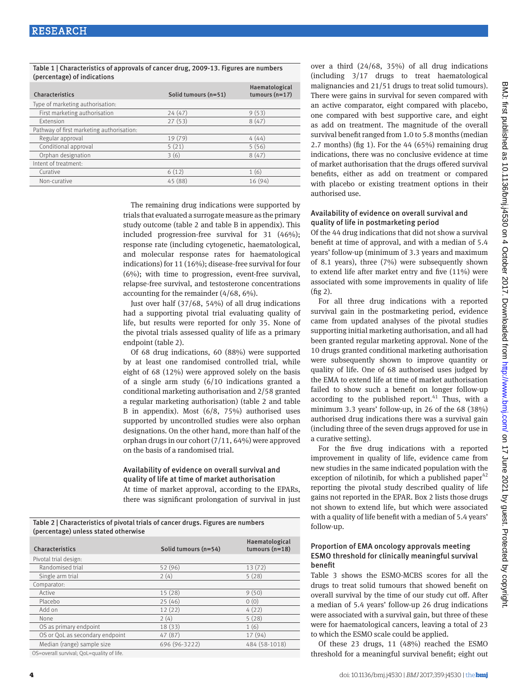Table 1 | Characteristics of approvals of cancer drug, 2009-13. Figures are numbers (percentage) of indications

| Characteristics                           | Solid tumours (n=51) | Haematological<br>tumours $(n=17)$ |
|-------------------------------------------|----------------------|------------------------------------|
| Type of marketing authorisation:          |                      |                                    |
| First marketing authorisation             | 24(47)               | 9(53)                              |
| Extension                                 | 27(53)               | 8(47)                              |
| Pathway of first marketing authorisation: |                      |                                    |
| Regular approval                          | 19(79)               | 4(44)                              |
| Conditional approval                      | 5(21)                | 5(56)                              |
| Orphan designation                        | 3(6)                 | 8(47)                              |
| Intent of treatment:                      |                      |                                    |
| Curative                                  | 6(12)                | 1(6)                               |
| Non-curative                              | 45 (88)              | 16 (94)                            |

The remaining drug indications were supported by trials that evaluated a surrogate measure as the primary study outcome (table 2 and table B in appendix). This included progression-free survival for 31 (46%); response rate (including cytogenetic, haematological, and molecular response rates for haematological indications) for 11 (16%); disease-free survival for four  $(6%)$ ; with time to progression, event-free survival, relapse-free survival, and testosterone concentrations accounting for the remainder (4/68, 6%).

Just over half (37/68, 54%) of all drug indications had a supporting pivotal trial evaluating quality of life, but results were reported for only 35. None of the pivotal trials assessed quality of life as a primary endpoint (table 2).

Of 68 drug indications, 60 (88%) were supported by at least one randomised controlled trial, while eight of 68 (12%) were approved solely on the basis of a single arm study (6/10 indications granted a conditional marketing authorisation and 2/58 granted a regular marketing authorisation) (table 2 and table B in appendix). Most (6/8, 75%) authorised uses supported by uncontrolled studies were also orphan designations. On the other hand, more than half of the orphan drugs in our cohort (7/11, 64%) were approved on the basis of a randomised trial.

## Availability of evidence on overall survival and quality of life at time of market authorisation

At time of market approval, according to the EPARs, there was significant prolongation of survival in just

Table 2 | Characteristics of pivotal trials of cancer drugs. Figures are numbers (percentage) unless stated otherwise

| Characteristics                 | Solid tumours (n=54) | Haematological<br>tumours $(n=18)$ |  |
|---------------------------------|----------------------|------------------------------------|--|
| Pivotal trial design:           |                      |                                    |  |
| Randomised trial                | 52 (96)              | 13(72)                             |  |
| Single arm trial                | 2(4)                 | 5(28)                              |  |
| Comparator:                     |                      |                                    |  |
| Active                          | 15(28)               | 9(50)                              |  |
| Placebo                         | 25(46)               | 0(0)                               |  |
| Add on                          | 12(22)               | 4(22)                              |  |
| None                            | 2(4)                 | 5(28)                              |  |
| OS as primary endpoint          | 18 (33)              | 1(6)                               |  |
| OS or QoL as secondary endpoint | 47 (87)              | 17 (94)                            |  |
| Median (range) sample size      | 696 (96-3222)        | 484 (58-1018)                      |  |

OS=overall survival; QoL=quality of life.

over a third (24/68, 35%) of all drug indications (including 3/17 drugs to treat haematological malignancies and 21/51 drugs to treat solid tumours). There were gains in survival for seven compared with an active comparator, eight compared with placebo, one compared with best supportive care, and eight as add on treatment. The magnitude of the overall survival benefit ranged from 1.0 to 5.8 months (median 2.7 months) (fig 1). For the 44 (65%) remaining drug indications, there was no conclusive evidence at time of market authorisation that the drugs offered survival benefits, either as add on treatment or compared with placebo or existing treatment options in their authorised use.

## Availability of evidence on overall survival and quality of life in postmarketing period

Of the 44 drug indications that did not show a survival benefit at time of approval, and with a median of 5.4 years' follow-up (minimum of 3.3 years and maximum of 8.1 years), three (7%) were subsequently shown to extend life after market entry and five (11%) were associated with some improvements in quality of life (fig 2).

For all three drug indications with a reported survival gain in the postmarketing period, evidence came from updated analyses of the pivotal studies supporting initial marketing authorisation, and all had been granted regular marketing approval. None of the 10 drugs granted conditional marketing authorisation were subsequently shown to improve quantity or quality of life. One of 68 authorised uses judged by the EMA to extend life at time of market authorisation failed to show such a benefit on longer follow-up according to the published report. $41$  Thus, with a minimum 3.3 years' follow-up, in 26 of the 68 (38%) authorised drug indications there was a survival gain (including three of the seven drugs approved for use in a curative setting).

For the five drug indications with a reported improvement in quality of life, evidence came from new studies in the same indicated population with the exception of nilotinib, for which a published paper<sup>42</sup> reporting the pivotal study described quality of life gains not reported in the EPAR. Box 2 lists those drugs not shown to extend life, but which were associated with a quality of life benefit with a median of 5.4 years' follow-up.

## Proportion of EMA oncology approvals meeting ESMO threshold for clinically meaningful survival benefit

Table 3 shows the ESMO-MCBS scores for all the drugs to treat solid tumours that showed benefit on overall survival by the time of our study cut off. After a median of 5.4 years' follow-up 26 drug indications were associated with a survival gain, but three of these were for haematological cancers, leaving a total of 23 to which the ESMO scale could be applied.

Of these 23 drugs, 11 (48%) reached the ESMO threshold for a meaningful survival benefit; eight out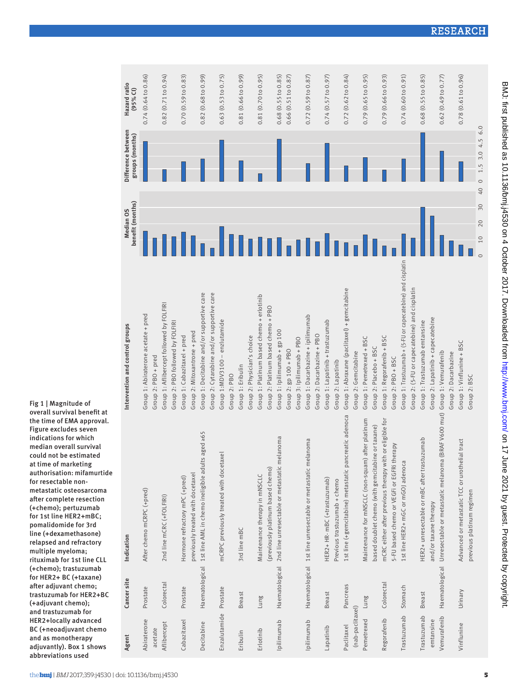Fig 1 | Magnitude of overall survival benefit at the time of EMA approval. Figure excludes seven indications for which median overall survival could not be estimated at time of marketing authorisation: mifamurtide for resectable nonmetastatic osteosarcoma after complete resection (+chemo); pertuzumab for 1st line HER2+mBC; pomalidomide for 3rd line (+dexamethasone) relapsed and refractory multiple myeloma; rituximab for 1st line CLL (+chemo); trastuzumab for HER2+ BC (+taxane) after adjuvant chemo; trastuzumab for HER2+BC (+adjuvant chemo); and trastuzumab for HER2+locally advanced BC (+neoadjuvant chemo and as monotherapy adjuvantly). Box 1 shows abbreviations used

| Agent            | Cancer site    | Indication                                                               | Intervention and control groups                                                          | benefit (months)<br>Median OS | Difference between<br>groups (months) | Hazard ratio<br>$(95%$ CI) |
|------------------|----------------|--------------------------------------------------------------------------|------------------------------------------------------------------------------------------|-------------------------------|---------------------------------------|----------------------------|
| Abiraterone      | Prostate       | After chemo mCRPC (+pred)                                                | Group 1: Abiraterone acetate + pred                                                      |                               |                                       | 0.74(0.64 to 0.86)         |
| acetate          |                |                                                                          | Group 2: PBO + pred                                                                      |                               |                                       |                            |
| Aflibercept      | Colorectal     | 2nd line mCRC (+FOLFIRI)                                                 | Group 1: Aflibercept followed by FOLFIRI                                                 |                               |                                       | 0.82(0.71 to 0.94)         |
|                  |                |                                                                          | Group 2: PBO followed by FOLFIR                                                          |                               |                                       |                            |
| Cabazitaxel      | Prostate       | Hormone refractory mPC (+pred)                                           | Group 1: Cabazitaxel + pred                                                              |                               |                                       | 0.70(0.59 to 0.83)         |
|                  |                | previously treated with docetaxel                                        | Group 2: Mitoxantrone + pred                                                             |                               |                                       |                            |
| Decitabine       | Haematological | 1st line AML in chemo ineligible adults aged ≥65                         | Group 2: Cytarabine and/or supportive care<br>Group 1: Decitabine and/or supportive care |                               |                                       | 0.82(0.68 to 0.99)         |
| Enzalutamide     | Prostate       | mCRPC previously treated with docetaxel                                  | Group 1:MDV3100 - enzlutamide                                                            |                               |                                       | 0.63(0.53 to 0.75)         |
|                  |                |                                                                          | Group 2: PBO                                                                             |                               |                                       |                            |
| Eribulin         | Breast         | 3rd line mBC                                                             | Group 1: Eribulin                                                                        |                               |                                       | 0.81(0.66 to 0.99)         |
|                  |                |                                                                          | Group 2: Physician's choice                                                              |                               |                                       |                            |
| Erlotinib        | Lung           | Maintenance therapy in mNSCLC                                            | Group 1: Platinum based chemo + erlotinib                                                |                               |                                       | 0.81(0.70 to 0.95)         |
|                  |                | (previously platinum based chemo)                                        | Group 2: Platinum based chemo + PBO                                                      |                               |                                       |                            |
| lpilimumab       | Haematological | 2nd line unresectable or metastatic melanoma                             | Group 1: Ipilimumab + gp 100                                                             |                               |                                       | 0.68(0.55 to 0.85)         |
|                  |                |                                                                          | Group $2:gp$ 100 + PBO                                                                   |                               |                                       | 0.66(0.51 to 0.87)         |
|                  |                |                                                                          | Group 3: Ipilimumab + PBO                                                                |                               |                                       |                            |
| lpilimumab       |                | Haematological 1st line unresectable or metastatic melanoma              | Group 1: Dacarbazine + ipilimumab                                                        |                               |                                       | 0.72(0.59 to 0.87)         |
|                  |                |                                                                          | Group 2: Dacarbazine + PBO                                                               |                               |                                       |                            |
| Lapatinib        | Breast         | HER2+ HR-mBC (+trastuzumab)                                              | Group 1: Lapatinib + trastuzumab                                                         |                               |                                       | 0.74(0.57 to 0.97)         |
|                  |                | Previous trastuzumab + chemo                                             | Group 2: Lapatinib                                                                       |                               |                                       |                            |
| Paclitaxel       | Pancreas       | 1st line (+gemcitabine) metastatic pancreatic adenoca                    | Group 1: Abraxane (paclitaxel) + gemcitabine                                             |                               |                                       | 0.72(0.62 to 0.84)         |
| (nab-paclitaxel) |                |                                                                          | Group 2: Gemcitabine                                                                     |                               |                                       |                            |
| Pemetrexed       | Lung           | Maintenance for mNSCLC (non-squam) after platinum                        | Group 1: Pemetrexed + BSC                                                                |                               |                                       | 0.79(0.65 to 0.95)         |
|                  |                | based doublet chemo (with gemcitabine or taxane)                         | Group 2: Placebo + BSC                                                                   |                               |                                       |                            |
| Regorafenib      | Colorectal     | mCRC either after previous therapy with or eligible for                  | Group 1: Regorafenib + BSC                                                               |                               |                                       | 0.79(0.66 to 0.93)         |
|                  |                | 5-FU based chemo or VEGFi or EGFRi therapy                               | Group $2$ : PBO + BSC                                                                    |                               |                                       |                            |
| Trastuzumab      | Stomach        | 1st line HER2+ mGC or mGOJ adenoca                                       | Group 1: Trastuzumab + (5-FU or capecatebine) and cisplatin                              |                               |                                       | 0.74(0.60 to 0.91)         |
|                  |                |                                                                          | Group 2: (5-FU or capecatebine) and cisplatin                                            |                               |                                       |                            |
| Trastuzumab      | Breast         | HER2+ unresectable or mBC after trastuzumab                              | Group 1: Trastuzumab emtansine                                                           |                               |                                       | 0.68(0.55 to 0.85)         |
| emtansine        |                | and/or taxane therapy                                                    | Group 2: Lapatinib + capecatebine                                                        |                               |                                       |                            |
| Vemurafenib      | Haematological | Unresectable or metastatic melanoma (BRAF V600 mut) Group 1: Vemurafenib |                                                                                          |                               |                                       | 0.62(0.49 to 0.77)         |
|                  |                |                                                                          | Group 2: Dacarbazine                                                                     |                               |                                       |                            |
| Vinflunine       | Urinary        | Advanced or metastatic TCC or urothelial tract                           | Group 1: Vinflunine + BSC                                                                |                               |                                       | 0.78(0.61 to 0.96)         |
|                  |                | previous platinum regimen                                                | Group 2: BSC                                                                             |                               |                                       |                            |

0 1.5 3.0 4.5 6.0

 $6.0$ 4.5  $3.0$  $1.5$  $\circ$  $40$  $30$ 20  $10$  $\circ$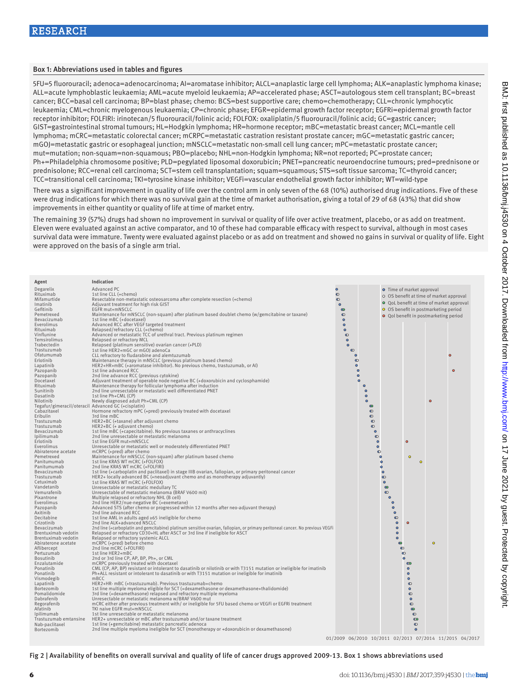## Box 1: Abbreviations used in tables and figures

5FU=5 fluorouracil; adenoca=adenocarcinoma; AI=aromatase inhibitor; ALCL=anaplastic large cell lymphoma; ALK=anaplastic lymphoma kinase; ALL=acute lymphoblastic leukaemia; AML=acute myeloid leukaemia; AP=accelerated phase; ASCT=autologous stem cell transplant; BC=breast cancer; BCC=basal cell carcinoma; BP=blast phase; chemo: BCS=best supportive care; chemo=chemotherapy; CLL=chronic lymphocytic leukaemia; CML=chronic myelogenous leukaemia; CP=chronic phase; EFGR=epidermal growth factor receptor; EGFRi=epidermal growth factor receptor inhibitor; FOLFIRI: irinotecan/5 fluorouracil/folinic acid; FOLFOX: oxaliplatin/5 fluorouracil/folinic acid; GC=gastric cancer; GIST=gastrointestinal stromal tumours; HL=Hodgkin lymphoma; HR=hormone receptor; mBC=metastatic breast cancer; MCL=mantle cell lymphoma; mCRC=metastatic colorectal cancer; mCRPC=metastatic castration resistant prostate cancer; mGC=metastatic gastric cancer; mGOJ=metastatic gastric or esophageal junction; mNSCLC=metastatic non-small cell lung cancer; mPC=metastatic prostate cancer; mut=mutation; non-squam=non-squamous; PBO=placebo; NHL=non-Hodgkin lymphoma; NR=not reported; PC=prostate cancer; Ph+=Philadelphia chromosome positive; PLD=pegylated liposomal doxorubicin; PNET=pancreatic neuroendocrine tumours; pred=prednisone or prednisolone; RCC=renal cell carcinoma; SCT=stem cell transplantation; squam=squamous; STS=soft tissue sarcoma; TC=thyroid cancer; TCC=transitional cell carcinoma; TKI=tyrosine kinase inhibitor; VEGFi=vascular endothelial growth factor inhibitor; WT=wild-type

There was a significant improvement in quality of life over the control arm in only seven of the 68 (10%) authorised drug indications. Five of these were drug indications for which there was no survival gain at the time of market authorisation, giving a total of 29 of 68 (43%) that did show improvements in either quantity or quality of life at time of market entry.

The remaining 39 (57%) drugs had shown no improvement in survival or quality of life over active treatment, placebo, or as add on treatment. Eleven were evaluated against an active comparator, and 10 of these had comparable efficacy with respect to survival, although in most cases survival data were immature. Twenty were evaluated against placebo or as add on treatment and showed no gains in survival or quality of life. Eight were approved on the basis of a single arm trial.



Fig 2 | Availability of benefits on overall survival and quality of life of cancer drugs approved 2009-13. Box 1 shows abbreviations used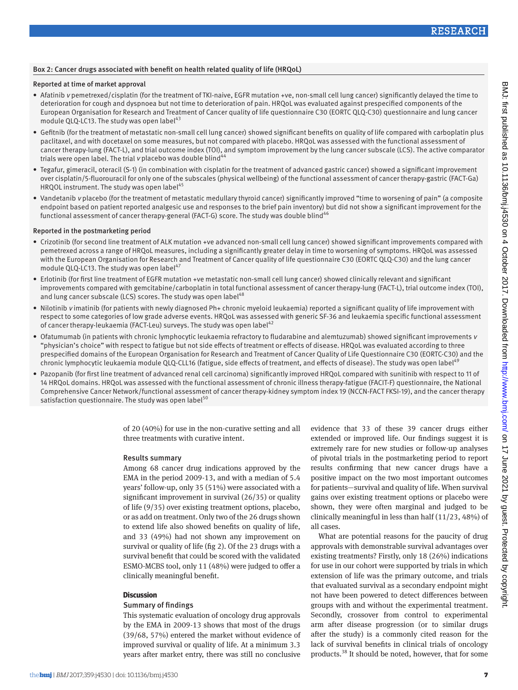## Box 2: Cancer drugs associated with benefit on health related quality of life (HRQoL)

#### Reported at time of market approval

- Afatinib <sup>v</sup> pemetrexed/cisplatin (for the treatment of TKI-naive, EGFR mutation +ve, non-small cell lung cancer) significantly delayed the time to deterioration for cough and dyspnoea but not time to deterioration of pain. HRQoL was evaluated against prespecified components of the European Organisation for Research and Treatment of Cancer quality of life questionnaire C30 (EORTC QLQ-C30) questionnaire and lung cancer module QLQ-LC13. The study was open label<sup>43</sup>
- Gefitnib (for the treatment of metastatic non-small cell lung cancer) showed significant benefits on quality of life compared with carboplatin plus paclitaxel, and with docetaxel on some measures, but not compared with placebo. HRQoL was assessed with the functional assessment of cancer therapy-lung (FACT-L), and trial outcome index (TOI), and symptom improvement by the lung cancer subscale (LCS). The active comparator trials were open label. The trial v placebo was double blind<sup>44</sup>
- Tegafur, gimeracil, oteracil (S-1) (in combination with cisplatin for the treatment of advanced gastric cancer) showed a significant improvement over cisplatin/5-fluorouracil for only one of the subscales (physical wellbeing) of the functional assessment of cancer therapy-gastric (FACT-Ga) HRQOL instrument. The study was open label<sup>45</sup>
- Vandetanib <sup>v</sup> placebo (for the treatment of metastatic medullary thyroid cancer) significantly improved "time to worsening of pain" (a composite endpoint based on patient reported analgesic use and responses to the brief pain inventory) but did not show a significant improvement for the functional assessment of cancer therapy-general (FACT-G) score. The study was double blind<sup>46</sup>

#### Reported in the postmarketing period

- Crizotinib (for second line treatment of ALK mutation +ve advanced non-small cell lung cancer) showed significant improvements compared with pemetrexed across a range of HRQoL measures, including a significantly greater delay in time to worsening of symptoms. HRQoL was assessed with the European Organisation for Research and Treatment of Cancer quality of life questionnaire C30 (EORTC QLQ-C30) and the lung cancer module QLQ-LC13. The study was open label<sup>47</sup>
- Erlotinib (for first line treatment of EGFR mutation +ve metastatic non-small cell lung cancer) showed clinically relevant and significant improvements compared with gemcitabine/carboplatin in total functional assessment of cancer therapy-lung (FACT-L), trial outcome index (TOI), and lung cancer subscale (LCS) scores. The study was open label<sup>48</sup>
- Nilotinib vimatinib (for patients with newly diagnosed Ph+ chronic myeloid leukaemia) reported a significant quality of life improvement with respect to some categories of low grade adverse events. HRQoL was assessed with generic SF-36 and leukaemia specific functional assessment of cancer therapy-leukaemia (FACT-Leu) surveys. The study was open label $42$
- Ofatumumab (in patients with chronic lymphocytic leukaemia refractory to fludarabine and alemtuzumab) showed significant improvements <sup>v</sup> "physician's choice" with respect to fatigue but not side effects of treatment or effects of disease. HRQoL was evaluated according to three prespecified domains of the European Organisation for Research and Treatment of Cancer Quality of Life Questionnaire C30 (EORTC-C30) and the chronic lymphocytic leukaemia module QLQ-CLL16 (fatigue, side effects of treatment, and effects of disease). The study was open label<sup>49</sup>
- Pazopanib (for first line treatment of advanced renal cell carcinoma) significantly improved HRQoL compared with sunitinib with respect to 11 of 14 HRQoL domains. HRQoL was assessed with the functional assessment of chronic illness therapy-fatigue (FACIT-F) questionnaire, the National Comprehensive Cancer Network/functional assessment of cancer therapy-kidney symptom index 19 (NCCN-FACT FKSI-19), and the cancer therapy satisfaction questionnaire. The study was open label<sup>50</sup>

of 20 (40%) for use in the non-curative setting and all three treatments with curative intent.

#### Results summary

Among 68 cancer drug indications approved by the EMA in the period 2009-13, and with a median of 5.4 years' follow-up, only 35 (51%) were associated with a significant improvement in survival (26/35) or quality of life (9/35) over existing treatment options, placebo, or as add on treatment. Only two of the 26 drugs shown to extend life also showed benefits on quality of life, and 33 (49%) had not shown any improvement on survival or quality of life (fig 2). Of the 23 drugs with a survival benefit that could be scored with the validated ESMO-MCBS tool, only 11 (48%) were judged to offer a clinically meaningful benefit.

#### **Discussion**

## Summary of findings

This systematic evaluation of oncology drug approvals by the EMA in 2009-13 shows that most of the drugs (39/68, 57%) entered the market without evidence of improved survival or quality of life. At a minimum 3.3 years after market entry, there was still no conclusive

evidence that 33 of these 39 cancer drugs either extended or improved life. Our findings suggest it is extremely rare for new studies or follow-up analyses of pivotal trials in the postmarketing period to report results confirming that new cancer drugs have a positive impact on the two most important outcomes for patients—survival and quality of life. When survival gains over existing treatment options or placebo were shown, they were often marginal and judged to be clinically meaningful in less than half (11/23, 48%) of all cases.

What are potential reasons for the paucity of drug approvals with demonstrable survival advantages over existing treatments? Firstly, only 18 (26%) indications for use in our cohort were supported by trials in which extension of life was the primary outcome, and trials that evaluated survival as a secondary endpoint might not have been powered to detect differences between groups with and without the experimental treatment. Secondly, crossover from control to experimental arm after disease progression (or to similar drugs after the study) is a commonly cited reason for the lack of survival benefits in clinical trials of oncology products.38 It should be noted, however, that for some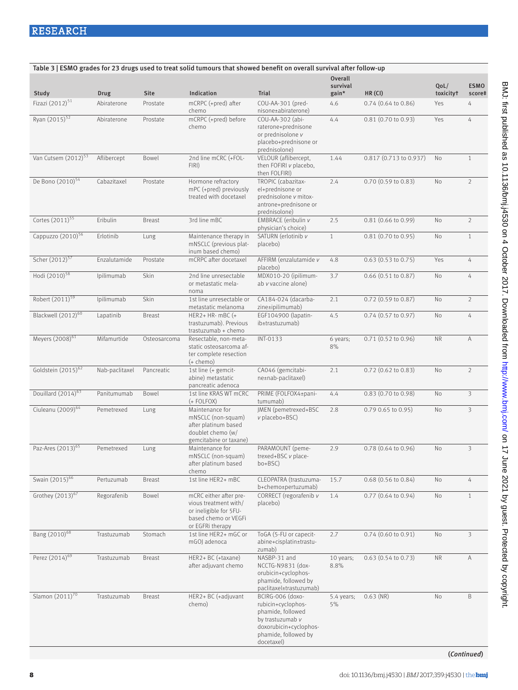| Study                           | Drug           | <b>Site</b>   | Indication                                                                                                            | Trial                                                                                                                                           | Overall<br>survival<br>gain* | HR(CI)                    | QoL/<br>toxicityt | <b>ESMO</b><br>score‡ |
|---------------------------------|----------------|---------------|-----------------------------------------------------------------------------------------------------------------------|-------------------------------------------------------------------------------------------------------------------------------------------------|------------------------------|---------------------------|-------------------|-----------------------|
| Fizazi (2012) <sup>51</sup>     | Abiraterone    | Prostate      | mCRPC (+pred) after                                                                                                   | COU-AA-301 (pred-                                                                                                                               | 4.6                          | $0.74$ $(0.64$ to $0.86)$ | Yes               | 4                     |
| Ryan (2015) <sup>52</sup>       | Abiraterone    | Prostate      | chemo<br>mCRPC (+pred) before<br>chemo                                                                                | nisone±abiraterone)<br>COU-AA-302 (abi-<br>raterone+prednisone<br>or prednisolone v<br>placebo+prednisone or<br>prednisolone)                   | 4.4                          | 0.81 (0.70 to 0.93)       | Yes               | 4                     |
| Van Cutsem (2012) <sup>53</sup> | Aflibercept    | Bowel         | 2nd line mCRC (+FOL-<br>FIRI)                                                                                         | VELOUR (aflibercept,<br>then FOFIRI v placebo,<br>then FOLFIRI)                                                                                 | 1.44                         | 0.817 (0.713 to 0.937)    | No                | $\mathbf{1}$          |
| De Bono (2010) <sup>54</sup>    | Cabazitaxel    | Prostate      | Hormone refractory<br>mPC (+pred) previously<br>treated with docetaxel                                                | TROPIC (cabazitax-<br>el+prednisone or<br>prednisolone v mitox-<br>antrone+prednisone or<br>prednisolone)                                       | 2.4                          | 0.70 (0.59 to 0.83)       | No                | $\overline{2}$        |
| Cortes (2011) <sup>55</sup>     | Eribulin       | <b>Breast</b> | 3rd line mBC                                                                                                          | EMBRACE (eribulin v<br>physician's choice)                                                                                                      | 2.5                          | $0.81$ (0.66 to 0.99)     | No                | $\overline{2}$        |
| Cappuzzo (2010) <sup>56</sup>   | Erlotinib      | Lung          | Maintenance therapy in<br>mNSCLC (previous plat-<br>inum based chemo)                                                 | SATURN (erlotinib v<br>placebo)                                                                                                                 | $\mathbf{1}$                 | $0.81$ (0.70 to 0.95)     | No                | $\mathbf{1}$          |
| Scher (2012) <sup>57</sup>      | Enzalutamide   | Prostate      | mCRPC after docetaxel                                                                                                 | AFFIRM (enzalutamide v<br>placebo)                                                                                                              | 4.8                          | $0.63$ $(0.53$ to $0.75)$ | Yes               | $\overline{4}$        |
| Hodi (2010) <sup>58</sup>       | Ipilimumab     | Skin          | 2nd line unresectable<br>or metastatic mela-<br>noma                                                                  | MDX010-20 (ipilimum-<br>ab v vaccine alone)                                                                                                     | 3.7                          | $0.66$ $(0.51$ to $0.87)$ | No                | 4                     |
| Robert (2011) <sup>59</sup>     | Ipilimumab     | Skin          | 1st line unresectable or<br>metastatic melanoma                                                                       | CA184-024 (dacarba-<br>zine±ipilimumab)                                                                                                         | 2.1                          | $0.72$ (0.59 to 0.87)     | No                | $\overline{2}$        |
| Blackwell (2012) <sup>60</sup>  | Lapatinib      | <b>Breast</b> | HER2+ HR- $mBC (+$<br>trastuzumab). Previous<br>trastuzumab + chemo                                                   | EGF104900 (lapatin-<br>ib±trastuzumab)                                                                                                          | 4.5                          | $0.74$ $(0.57$ to $0.97)$ | No                | 4                     |
| Meyers (2008) <sup>61</sup>     | Mifamurtide    | Osteosarcoma  | Resectable, non-meta-<br>static osteosarcoma af-<br>ter complete resection<br>$(+$ chemo)                             | INT-0133                                                                                                                                        | 6 years;<br>8%               | 0.71 (0.52 to 0.96)       | <b>NR</b>         | Α                     |
| Goldstein $(2015)^{62}$         | Nab-paclitaxel | Pancreatic    | 1st line (+ gemcit-<br>abine) metastatic<br>pancreatic adenoca                                                        | CA046 (gemcitabi-<br>ne±nab-paclitaxel)                                                                                                         | 2.1                          | $0.72$ (0.62 to 0.83)     | No                | $\overline{2}$        |
| Douillard $(2014)^{63}$         | Panitumumab    | Bowel         | 1st line KRAS WT mCRC<br>(+ FOLFOX)                                                                                   | PRIME (FOLFOX4±pani-<br>tumumab)                                                                                                                | 4.4                          | 0.83 (0.70 to 0.98)       | No                | 3                     |
| Ciuleanu $(2009)^{64}$          | Pemetrexed     | Lung          | Maintenance for<br>mNSCLC (non-squam)<br>after platinum based<br>doublet chemo (w/<br>gemcitabine or taxane)          | JMEN (pemetrexed+BSC<br>v placebo+BSC)                                                                                                          | 2.8                          | $0.79$ 0.65 to 0.95)      | No                | $\mathfrak{Z}$        |
| Paz-Ares (2013) <sup>65</sup>   | Pemetrexed     | Lung          | Maintenance for<br>mNSCLC (non-squam)<br>after platinum based<br>chemo                                                | PARAMOUNT (peme-<br>trexed+BSC v place-<br>bo+BSC)                                                                                              | 2.9                          | $0.78$ $(0.64$ to $0.96)$ | No                | 3                     |
| Swain (2015) <sup>66</sup>      | Pertuzumab     | <b>Breast</b> | 1st line HER2+ mBC                                                                                                    | CLEOPATRA (trastuzuma-<br>b+chemo±pertuzumab)                                                                                                   | 15.7                         | $0.68$ $(0.56$ to $0.84)$ | No                | 4                     |
| Grothey (2013) <sup>67</sup>    | Regorafenib    | Bowel         | mCRC either after pre-<br>vious treatment with/<br>or ineligible for 5FU-<br>based chemo or VEGFi<br>or EGFRi therapy | CORRECT (regorafenib v<br>placebo)                                                                                                              | 1.4                          | 0.77 (0.64 to 0.94)       | No                | $\mathbf{1}$          |
| Bang (2010) <sup>68</sup>       | Trastuzumab    | Stomach       | 1st line HER2+ mGC or<br>mGOJ adenoca                                                                                 | ToGA (5-FU or capecit-<br>abine+cisplatin±trastu-<br>zumab)                                                                                     | 2.7                          | $0.74$ (0.60 to 0.91)     | No                | 3                     |
| Perez (2014) <sup>69</sup>      | Trastuzumab    | <b>Breast</b> | HER2+ BC (+taxane)<br>after adjuvant chemo                                                                            | NASBP-31 and<br>NCCTG-N9831 (dox-<br>orubicin+cyclophos-<br>phamide, followed by<br>paclitaxel±trastuzumab)                                     | 10 years;<br>8.8%            | $0.63$ $(0.54$ to $0.73)$ | <b>NR</b>         | Α                     |
| Slamon (2011) <sup>70</sup>     | Trastuzumab    | <b>Breast</b> | HER2+ BC (+adjuvant<br>chemo)                                                                                         | BCIRG-006 (doxo-<br>rubicin+cyclophos-<br>phamide, followed<br>by trastuzumab v<br>doxorubicin+cyclophos-<br>phamide, followed by<br>docetaxel) | 5.4 years;<br>5%             | $0.63$ (NR)               | No                | $\,$ B                |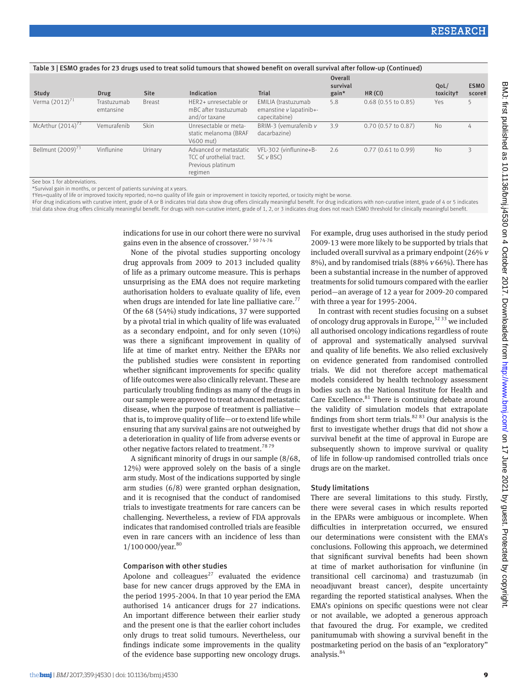| Table 3   ESMO grades for 23 drugs used to treat solid tumours that showed benefit on overall survival after follow-up (Continued) |  |
|------------------------------------------------------------------------------------------------------------------------------------|--|
|------------------------------------------------------------------------------------------------------------------------------------|--|

| Study                         | Drug                     | <b>Site</b>   | Indication                                                                         | <b>Trial</b>                                                    | Overall<br>survival<br>gain* | HR (CI)                   | QoL/<br>toxicityt | <b>ESMO</b><br>score‡ |
|-------------------------------|--------------------------|---------------|------------------------------------------------------------------------------------|-----------------------------------------------------------------|------------------------------|---------------------------|-------------------|-----------------------|
| Verma $(2012)^{71}$           | Trastuzumab<br>emtansine | <b>Breast</b> | HER2+ unresectable or<br>mBC after trastuzumab<br>and/or taxane                    | EMILIA (trastuzumab<br>emanstine v lapatinib+-<br>capecitabine) | 5.8                          | $0.68$ $(0.55$ to $0.85)$ | Yes               |                       |
| McArthur $(2014)^{72}$        | Vemurafenib              | <b>Skin</b>   | Unresectable or meta-<br>static melanoma (BRAF<br>V600 mut)                        | BRIM-3 (vemurafenib $v$<br>dacarbazine)                         | 3.9                          | $0.70$ $(0.57$ to $0.87)$ | <b>No</b>         | 4                     |
| Bellmunt (2009) <sup>73</sup> | Vinflunine               | Urinary       | Advanced or metastatic<br>TCC of urothelial tract.<br>Previous platinum<br>regimen | VFL-302 (vinflunine+B-<br>SC v BSC)                             | 2.6                          | $0.77$ $(0.61$ to $0.99)$ | <b>No</b>         |                       |

See box 1 for abbreviations.

\*Survival gain in months, or percent of patients surviving at x years.

†Yes=quality of life or improved toxicity reported; no=no quality of life gain or improvement in toxicity reported, or toxicity might be worse.

‡For drug indications with curative intent, grade of A or B indicates trial data show drug offers clinically meaningful benefit. For drug indications with non-curative intent, grade of 4 or 5 indicates trial data show drug offers clinically meaningful benefit. For drugs with non-curative intent, grade of 1, 2, or 3 indicates drug does not reach ESMO threshold for clinically meaningful benefit.

> indications for use in our cohort there were no survival gains even in the absence of crossover.<sup>75074-76</sup>

None of the pivotal studies supporting oncology drug approvals from 2009 to 2013 included quality of life as a primary outcome measure. This is perhaps unsurprising as the EMA does not require marketing authorisation holders to evaluate quality of life, even when drugs are intended for late line palliative care.<sup>77</sup> Of the 68 (54%) study indications, 37 were supported by a pivotal trial in which quality of life was evaluated as a secondary endpoint, and for only seven (10%) was there a significant improvement in quality of life at time of market entry. Neither the EPARs nor the published studies were consistent in reporting whether significant improvements for specific quality of life outcomes were also clinically relevant. These are particularly troubling findings as many of the drugs in our sample were approved to treat advanced metastatic disease, when the purpose of treatment is palliative that is, to improve quality of life—or to extend life while ensuring that any survival gains are not outweighed by a deterioration in quality of life from adverse events or other negative factors related to treatment.<sup>7879</sup>

A significant minority of drugs in our sample (8/68, 12%) were approved solely on the basis of a single arm study. Most of the indications supported by single arm studies (6/8) were granted orphan designation, and it is recognised that the conduct of randomised trials to investigate treatments for rare cancers can be challenging. Nevertheless, a review of FDA approvals indicates that randomised controlled trials are feasible even in rare cancers with an incidence of less than 1/100 000/year.<sup>80</sup>

#### Comparison with other studies

Apolone and colleagues<sup>27</sup> evaluated the evidence base for new cancer drugs approved by the EMA in the period 1995-2004. In that 10 year period the EMA authorised 14 anticancer drugs for 27 indications. An important difference between their earlier study and the present one is that the earlier cohort includes only drugs to treat solid tumours. Nevertheless, our findings indicate some improvements in the quality of the evidence base supporting new oncology drugs. For example, drug uses authorised in the study period 2009-13 were more likely to be supported by trials that included overall survival as a primary endpoint (26% <sup>v</sup> 8%), and by randomised trials (88%  $v$  66%). There has been a substantial increase in the number of approved treatments for solid tumours compared with the earlier period—an average of 12 a year for 2009-20 compared with three a year for 1995-2004.

In contrast with recent studies focusing on a subset of oncology drug approvals in Europe,  $3233$  we included all authorised oncology indications regardless of route of approval and systematically analysed survival and quality of life benefits. We also relied exclusively on evidence generated from randomised controlled trials. We did not therefore accept mathematical models considered by health technology assessment bodies such as the National Institute for Health and Care Excellence. $81$  There is continuing debate around the validity of simulation models that extrapolate findings from short term trials. $82 83$  Our analysis is the first to investigate whether drugs that did not show a survival benefit at the time of approval in Europe are subsequently shown to improve survival or quality of life in follow-up randomised controlled trials once drugs are on the market.

## Study limitations

There are several limitations to this study. Firstly, there were several cases in which results reported in the EPARs were ambiguous or incomplete. When difficulties in interpretation occurred, we ensured our determinations were consistent with the EMA's conclusions. Following this approach, we determined that significant survival benefits had been shown at time of market authorisation for vinflunine (in transitional cell carcinoma) and trastuzumab (in neoadjuvant breast cancer), despite uncertainty regarding the reported statistical analyses. When the EMA's opinions on specific questions were not clear or not available, we adopted a generous approach that favoured the drug. For example, we credited panitumumab with showing a survival benefit in the postmarketing period on the basis of an "exploratory" analysis.<sup>84</sup>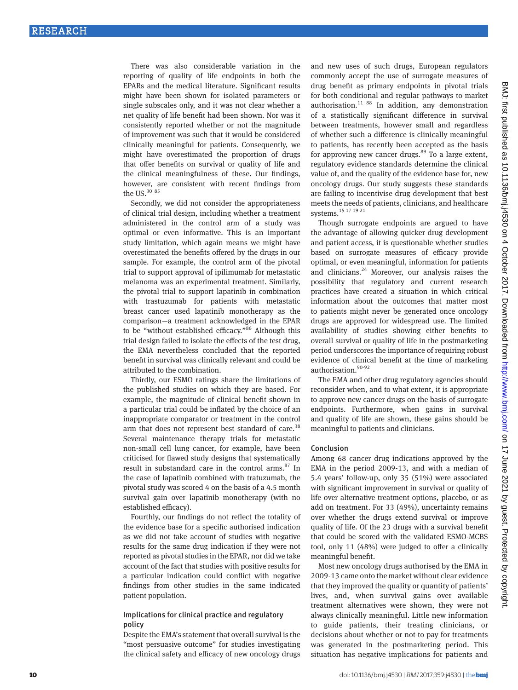There was also considerable variation in the reporting of quality of life endpoints in both the EPARs and the medical literature. Significant results might have been shown for isolated parameters or single subscales only, and it was not clear whether a net quality of life benefit had been shown. Nor was it consistently reported whether or not the magnitude of improvement was such that it would be considered clinically meaningful for patients. Consequently, we might have overestimated the proportion of drugs that offer benefits on survival or quality of life and the clinical meaningfulness of these. Our findings, however, are consistent with recent findings from the US.<sup>30 85</sup>

Secondly, we did not consider the appropriateness of clinical trial design, including whether a treatment administered in the control arm of a study was optimal or even informative. This is an important study limitation, which again means we might have overestimated the benefits offered by the drugs in our sample. For example, the control arm of the pivotal trial to support approval of ipilimumab for metastatic melanoma was an experimental treatment. Similarly, the pivotal trial to support lapatinib in combination with trastuzumab for patients with metastatic breast cancer used lapatinib monotherapy as the comparison—a treatment acknowledged in the EPAR to be "without established efficacy."<sup>86</sup> Although this trial design failed to isolate the effects of the test drug, the EMA nevertheless concluded that the reported benefit in survival was clinically relevant and could be attributed to the combination.

Thirdly, our ESMO ratings share the limitations of the published studies on which they are based. For example, the magnitude of clinical benefit shown in a particular trial could be inflated by the choice of an inappropriate comparator or treatment in the control arm that does not represent best standard of care.<sup>38</sup> Several maintenance therapy trials for metastatic non-small cell lung cancer, for example, have been criticised for flawed study designs that systematically result in substandard care in the control arms.<sup>87</sup> In the case of lapatinib combined with tratuzumab, the pivotal study was scored 4 on the basis of a 4.5 month survival gain over lapatinib monotherapy (with no established efficacy).

Fourthly, our findings do not reflect the totality of the evidence base for a specific authorised indication as we did not take account of studies with negative results for the same drug indication if they were not reported as pivotal studies in the EPAR, nor did we take account of the fact that studies with positive results for a particular indication could conflict with negative findings from other studies in the same indicated patient population.

## Implications for clinical practice and regulatory policy

Despite the EMA's statement that overall survival is the "most persuasive outcome" for studies investigating the clinical safety and efficacy of new oncology drugs and new uses of such drugs, European regulators commonly accept the use of surrogate measures of drug benefit as primary endpoints in pivotal trials for both conditional and regular pathways to market authorisation.<sup>11 88</sup> In addition, any demonstration of a statistically significant difference in survival between treatments, however small and regardless of whether such a difference is clinically meaningful to patients, has recently been accepted as the basis for approving new cancer drugs. $89$  To a large extent, regulatory evidence standards determine the clinical value of, and the quality of the evidence base for, new oncology drugs. Our study suggests these standards are failing to incentivise drug development that best meets the needs of patients, clinicians, and healthcare systems.15 17 19 21

Though surrogate endpoints are argued to have the advantage of allowing quicker drug development and patient access, it is questionable whether studies based on surrogate measures of efficacy provide optimal, or even meaningful, information for patients and clinicians. $24$  Moreover, our analysis raises the possibility that regulatory and current research practices have created a situation in which critical information about the outcomes that matter most to patients might never be generated once oncology drugs are approved for widespread use. The limited availability of studies showing either benefits to overall survival or quality of life in the postmarketing period underscores the importance of requiring robust evidence of clinical benefit at the time of marketing authorisation.<sup>90-92</sup>

The EMA and other drug regulatory agencies should reconsider when, and to what extent, it is appropriate to approve new cancer drugs on the basis of surrogate endpoints. Furthermore, when gains in survival and quality of life are shown, these gains should be meaningful to patients and clinicians.

## Conclusion

Among 68 cancer drug indications approved by the EMA in the period 2009-13, and with a median of 5.4 years' follow-up, only 35 (51%) were associated with significant improvement in survival or quality of life over alternative treatment options, placebo, or as add on treatment. For 33 (49%), uncertainty remains over whether the drugs extend survival or improve quality of life. Of the 23 drugs with a survival benefit that could be scored with the validated ESMO-MCBS tool, only 11 (48%) were judged to offer a clinically meaningful benefit.

Most new oncology drugs authorised by the EMA in 2009-13 came onto the market without clear evidence that they improved the quality or quantity of patients' lives, and, when survival gains over available treatment alternatives were shown, they were not always clinically meaningful. Little new information to guide patients, their treating clinicians, or decisions about whether or not to pay for treatments was generated in the postmarketing period. This situation has negative implications for patients and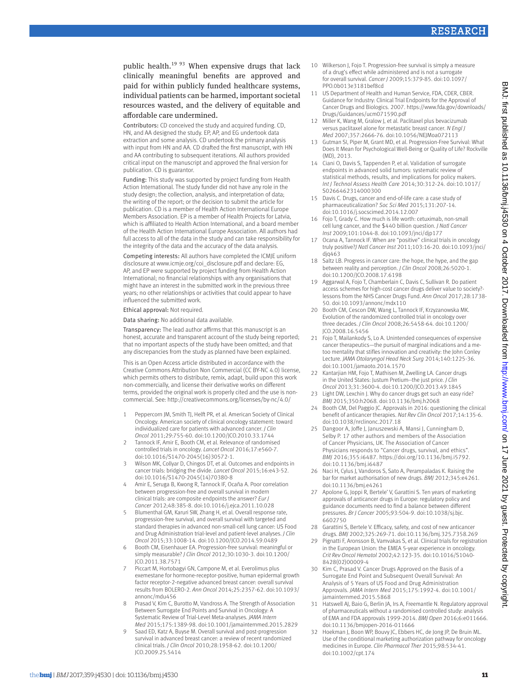public health.<sup>19 93</sup> When expensive drugs that lack clinically meaningful benefits are approved and paid for within publicly funded healthcare systems, individual patients can be harmed, important societal resources wasted, and the delivery of equitable and affordable care undermined.

Contributors: CD conceived the study and acquired funding. CD, HN, and AA designed the study. EP, AP, and EG undertook data extraction and some analysis. CD undertook the primary analysis with input from HN and AA. CD drafted the first manuscript, with HN and AA contributing to subsequent iterations. All authors provided critical input on the manuscript and approved the final version for publication. CD is guarantor.

Funding: This study was supported by project funding from Health Action International. The study funder did not have any role in the study design; the collection, analysis, and interpretation of data; the writing of the report; or the decision to submit the article for publication. CD is a member of Health Action International Europe Members Association. EP is a member of Health Projects for Latvia, which is affiliated to Health Action International, and a board member of the Health Action International Europe Association. All authors had full access to all of the data in the study and can take responsibility for the integrity of the data and the accuracy of the data analysis.

Competing interests: All authors have completed the ICMJE uniform disclosure at www.icmje.org/coi\_disclosure.pdf and declare: EG, AP, and EP were supported by project funding from Health Action International; no financial relationships with any organisations that might have an interest in the submitted work in the previous three years; no other relationships or activities that could appear to have influenced the submitted work.

#### Ethical approval: Not required.

Data sharing: No additional data available.

Transparency: The lead author affirms that this manuscript is an honest, accurate and transparent account of the study being reported; that no important aspects of the study have been omitted; and that any discrepancies from the study as planned have been explained.

This is an Open Access article distributed in accordance with the Creative Commons Attribution Non Commercial (CC BY-NC 4.0) license, which permits others to distribute, remix, adapt, build upon this work non-commercially, and license their derivative works on different terms, provided the original work is properly cited and the use is noncommercial. See: http://creativecommons.org/licenses/by-nc/4.0/

- 1 Peppercorn JM, Smith TJ, Helft PR, et al. American Society of Clinical Oncology. American society of clinical oncology statement: toward individualized care for patients with advanced cancer. *J Clin Oncol* 2011;29:755-60. doi:10.1200/JCO.2010.33.1744
- 2 Tannock IF, Amir E, Booth CM, et al. Relevance of randomised controlled trials in oncology. *Lancet Oncol* 2016;17:e560-7. doi:10.1016/S1470-2045(16)30572-1.
- 3 Wilson MK, Collyar D, Chingos DT, et al. Outcomes and endpoints in cancer trials: bridging the divide. *Lancet Oncol* 2015;16:e43-52. doi:10.1016/S1470-2045(14)70380-8
- 4 Amir E, Seruga B, Kwong R, Tannock IF, Ocaña A. Poor correlation between progression-free and overall survival in modern clinical trials: are composite endpoints the answer? *Eur J Cancer* 2012;48:385-8. doi:10.1016/j.ejca.2011.10.028
- 5 Blumenthal GM, Karuri SW, Zhang H, et al. Overall response rate, progression-free survival, and overall survival with targeted and standard therapies in advanced non-small-cell lung cancer: US Food and Drug Administration trial-level and patient-level analyses. *J Clin Oncol* 2015;33:1008-14. doi:10.1200/JCO.2014.59.0489
- 6 Booth CM, Eisenhauer EA. Progression-free survival: meaningful or simply measurable? *J Clin Oncol* 2012;30:1030-3. doi:10.1200/ JCO.2011.38.7571
- Piccart M, Hortobagyi GN, Campone M, et al. Everolimus plus exemestane for hormone-receptor-positive, human epidermal growth factor receptor-2-negative advanced breast cancer: overall survival results from BOLERO-2. *Ann Oncol* 2014;25:2357-62. doi:10.1093/ annonc/mdu456
- 8 Prasad V, Kim C, Burotto M, Vandross A. The Strength of Association Between Surrogate End Points and Survival in Oncology: A Systematic Review of Trial-Level Meta-analyses. *JAMA Intern Med* 2015;175:1389-98. doi:10.1001/jamainternmed.2015.2829
- 9 Saad ED, Katz A, Buyse M. Overall survival and post-progression survival in advanced breast cancer: a review of recent randomized clinical trials. *J Clin Oncol* 2010;28:1958-62. doi:10.1200/ JCO.2009.25.5414
- 10 Wilkerson J, Fojo T. Progression-free survival is simply a measure of a drug's effect while administered and is not a surrogate for overall survival. *Cancer J* 2009;15:379-85. doi:10.1097/ PPO.0b013e3181bef8cd
- 11 US Department of Health and Human Service, FDA, CDER, CBER. Guidance for Industry: Clinical Trial Endpoints for the Approval of Cancer Drugs and Biologics. 2007. https://www.fda.gov/downloads/ Drugs/Guidances/ucm071590.pdf
- 12 Miller K, Wang M, Gralow J, et al. Paclitaxel plus bevacizumab versus paclitaxel alone for metastatic breast cancer. *N Engl J Med* 2007;357:2666-76. doi:10.1056/NEJMoa072113
- 13 Gutman SI, Piper M, Grant MD, et al. Progression-Free Survival: What Does It Mean for Psychological Well-Being or Quality of Life? Rockville (MD), 2013.
- 14 Ciani O, Davis S, Tappenden P, et al. Validation of surrogate endpoints in advanced solid tumors: systematic review of statistical methods, results, and implications for policy makers. *Int J Technol Assess Health Care* 2014;30:312-24. doi:10.1017/ S0266462314000300
- 15 Davis C. Drugs, cancer and end-of-life care: a case study of pharmaceuticalization? *Soc Sci Med* 2015;131:207-14. doi:10.1016/j.socscimed.2014.12.007
- 16 Fojo T, Grady C. How much is life worth: cetuximab, non-small cell lung cancer, and the \$440 billion question. *J Natl Cancer Inst* 2009;101:1044-8. doi:10.1093/jnci/djp177
- 17 Ocana A, Tannock IF. When are "positive" clinical trials in oncology truly positive?*J Natl Cancer Inst* 2011;103:16-20. doi:10.1093/jnci/  $diag63$
- 18 Saltz LB. Progress in cancer care: the hope, the hype, and the gap between reality and perception. *J Clin Oncol* 2008;26:5020-1. doi:10.1200/JCO.2008.17.6198
- 19 Aggarwal A, Fojo T, Chamberlain C, Davis C, Sullivan R. Do patient access schemes for high-cost cancer drugs deliver value to society? lessons from the NHS Cancer Drugs Fund. *Ann Oncol* 2017;28:1738- 50. doi:10.1093/annonc/mdx110
- 20 Booth CM, Cescon DW, Wang L, Tannock IF, Krzyzanowska MK. Evolution of the randomized controlled trial in oncology over three decades. *J Clin Oncol* 2008;26:5458-64. doi:10.1200/ JCO.2008.16.5456
- 21 Fojo T, Mailankody S, Lo A. Unintended consequences of expensive cancer therapeutics—the pursuit of marginal indications and a metoo mentality that stifles innovation and creativity: the John Conley Lecture. *JAMA Otolaryngol Head Neck Surg* 2014;140:1225-36. doi:10.1001/jamaoto.2014.1570
- 22 Kantarjian HM, Fojo T, Mathisen M, Zwelling LA. Cancer drugs in the United States: Justum Pretium--the just price. *J Clin Oncol* 2013;31:3600-4. doi:10.1200/JCO.2013.49.1845
- 23 Light DW, Lexchin J. Why do cancer drugs get such an easy ride? *BMJ* 2015;350:h2068. doi:10.1136/bmj.h2068
- 24 Booth CM, Del Paggio JC. Approvals in 2016: questioning the clinical benefit of anticancer therapies. *Nat Rev Clin Oncol* 2017;14:135-6. doi:10.1038/nrclinonc.2017.18
- 25 Dangoor A, Joffe J, Januszewski A, Mansi J, Cunningham D, Selby P. 17 other authors and members of the Association of Cancer Physicians, UK. The Association of Cancer Physicians responds to "Cancer drugs, survival, and ethics". *BMJ* 2016;355:i6487. https://doi.org/10.1136/bmj.i5792. doi:10.1136/bmj.i6487
- 26 Naci H, Cylus J, Vandoros S, Sato A, Perampaladas K. Raising the bar for market authorisation of new drugs. *BMJ* 2012;345:e4261. doi:10.1136/bmj.e4261
- Apolone G, Joppi R, Bertele' V, Garattini S. Ten years of marketing approvals of anticancer drugs in Europe: regulatory policy and guidance documents need to find a balance between different pressures. *Br J Cancer* 2005;93:504-9. doi:10.1038/sj.bjc. 6602750
- 28 Garattini S, Bertele V. Efficacy, safety, and cost of new anticancer drugs. *BMJ* 2002;325:269-71. doi:10.1136/bmj.325.7358.269
- 29 Pignatti F, Aronsson B, Vamvakas S, et al. Clinical trials for registration in the European Union: the EMEA 5-year experience in oncology. *Crit Rev Oncol Hematol* 2002;42:123-35. doi:10.1016/S1040- 8428(02)00009-4
- 30 Kim C, Prasad V. Cancer Drugs Approved on the Basis of a Surrogate End Point and Subsequent Overall Survival: An Analysis of 5 Years of US Food and Drug Administration Approvals. *JAMA Intern Med* 2015;175:1992-4. doi:10.1001/ jamainternmed.2015.5868
- 31 Hatswell AJ, Baio G, Berlin JA, Irs A, Freemantle N. Regulatory approval of pharmaceuticals without a randomised controlled study: analysis of EMA and FDA approvals 1999-2014. *BMJ Open* 2016;6:e011666. doi:10.1136/bmjopen-2016-011666
- Hoekman J, Boon WP, Bouvy JC, Ebbers HC, de Jong JP, De Bruin ML. Use of the conditional marketing authorization pathway for oncology medicines in Europe. *Clin Pharmacol Ther* 2015;98:534-41. doi:10.1002/cpt.174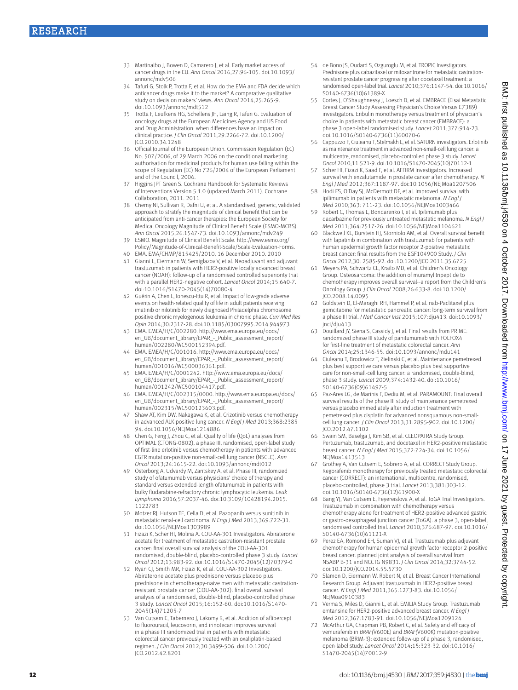- 33 Martinalbo J, Bowen D, Camarero J, et al. Early market access of cancer drugs in the EU. *Ann Oncol* 2016;27:96-105. doi:10.1093/ annonc/mdv506
- 34 Tafuri G, Stolk P, Trotta F, et al. How do the EMA and FDA decide which anticancer drugs make it to the market? A comparative qualitative study on decision makers' views. *Ann Oncol* 2014;25:265-9. doi:10.1093/annonc/mdt512
- Trotta F, Leufkens HG, Schellens JH, Laing R, Tafuri G. Evaluation of oncology drugs at the European Medicines Agency and US Food and Drug Administration: when differences have an impact on clinical practice. *J Clin Oncol* 2011;29:2266-72. doi:10.1200/ JCO.2010.34.1248
- 36 Official Journal of the European Union. Commission Regulation (EC) No. 507/2006, of 29 March 2006 on the conditional marketing authorisation for medicinal products for human use falling within the scope of Regulation (EC) No 726/2004 of the European Parliament and of the Council, 2006.
- 37 Higgins JPT Green S. Cochrane Handbook for Systematic Reviews of Interventions Version 5.1.0 (updated March 2011). Cochrane Collaboration, 2011. 2011
- 38 Cherny NI, Sullivan R, Dafni U, et al. A standardised, generic, validated approach to stratify the magnitude of clinical benefit that can be anticipated from anti-cancer therapies: the European Society for Medical Oncology Magnitude of Clinical Benefit Scale (ESMO-MCBS). *Ann Oncol* 2015;26:1547-73. doi:10.1093/annonc/mdv249
- 39 ESMO. Magnitude of Clinical Benefit Scale. http://www.esmo.org/ Policy/Magnitude-of-Clinical-Benefit-Scale/Scale-Evaluation-Forms.
- 40 EMA. EMA/CHMP/815425/2010, 16 December 2010. 2010
- 41 Gianni L, Eiermann W, Semiglazov V, et al. Neoadjuvant and adjuvant trastuzumab in patients with HER2-positive locally advanced breast cancer (NOAH): follow-up of a randomised controlled superiority trial with a parallel HER2-negative cohort. *Lancet Oncol* 2014;15:640-7. doi:10.1016/S1470-2045(14)70080-4
- 42 Guérin A, Chen L, Ionescu-Ittu R, et al. Impact of low-grade adverse events on health-related quality of life in adult patients receiving imatinib or nilotinib for newly diagnosed Philadelphia chromosome positive chronic myelogenous leukemia in chronic phase. *Curr Med Res Opin* 2014;30:2317-28. doi:10.1185/03007995.2014.944973
- 43 EMA. EMEA/H/C/002280. http://www.ema.europa.eu/docs/ en\_GB/document\_library/EPAR\_-\_Public\_assessment\_report/ human/002280/WC500152394.pdf.
- 44 EMA. EMEA/H/C/001016. http://www.ema.europa.eu/docs/ en\_GB/document\_library/EPAR\_-\_Public\_assessment\_report/ human/001016/WC500036361.pdf.
- 45 EMA. EMEA/H/C/0001242. http://www.ema.europa.eu/docs/ en\_GB/document\_library/EPAR\_-\_Public\_assessment\_report/ human/001242/WC500104417.pdf.
- 46 EMA. EMEA/H/C/002315/0000. http://www.ema.europa.eu/docs/ en\_GB/document\_library/EPAR\_-\_Public\_assessment\_report/ human/002315/WC500123603.pdf.
- 47 Shaw AT, Kim DW, Nakagawa K, et al. Crizotinib versus chemotherapy in advanced ALK-positive lung cancer. *N Engl J Med* 2013;368:2385- 94. doi:10.1056/NEJMoa1214886
- 48 Chen G, Feng J, Zhou C, et al. Quality of life (QoL) analyses from OPTIMAL (CTONG-0802), a phase III, randomised, open-label study of first-line erlotinib versus chemotherapy in patients with advanced EGFR mutation-positive non-small-cell lung cancer (NSCLC). *Ann Oncol* 2013;24:1615-22. doi:10.1093/annonc/mdt012
- 49 Österborg A, Udvardy M, Zaritskey A, et al. Phase III, randomized study of ofatumumab versus physicians' choice of therapy and standard versus extended-length ofatumumab in patients with bulky fludarabine-refractory chronic lymphocytic leukemia. *Leuk Lymphoma* 2016;57:2037-46. doi:10.3109/10428194.2015. 1122783
- 50 Motzer RJ, Hutson TE, Cella D, et al. Pazopanib versus sunitinib in metastatic renal-cell carcinoma. *N Engl J Med* 2013;369:722-31. doi:10.1056/NEJMoa1303989
- 51 Fizazi K, Scher HI, Molina A. COU-AA-301 Investigators. Abiraterone acetate for treatment of metastatic castration-resistant prostate cancer: final overall survival analysis of the COU-AA-301 randomised, double-blind, placebo-controlled phase 3 study. *Lancet Oncol* 2012;13:983-92. doi:10.1016/S1470-2045(12)70379-0
- 52 Ryan CJ, Smith MR, Fizazi K, et al. COU-AA-302 Investigators. Abiraterone acetate plus prednisone versus placebo plus prednisone in chemotherapy-naive men with metastatic castrationresistant prostate cancer (COU-AA-302): final overall survival analysis of a randomised, double-blind, placebo-controlled phase 3 study. *Lancet Oncol* 2015;16:152-60. doi:10.1016/S1470- 2045(14)71205-7
- Van Cutsem E, Tabernero J, Lakomy R, et al. Addition of aflibercept to fluorouracil, leucovorin, and irinotecan improves survival in a phase III randomized trial in patients with metastatic colorectal cancer previously treated with an oxaliplatin-based regimen. *J Clin Oncol* 2012;30:3499-506. doi:10.1200/ JCO.2012.42.8201
- 54 de Bono JS, Oudard S, Ozguroglu M, et al. TROPIC Investigators. Prednisone plus cabazitaxel or mitoxantrone for metastatic castrationresistant prostate cancer progressing after docetaxel treatment: a randomised open-label trial. *Lancet* 2010;376:1147-54. doi:10.1016/ S0140-6736(10)61389-X
- 55 Cortes J, O'Shaughnessy J, Loesch D, et al. EMBRACE (Eisai Metastatic Breast Cancer Study Assessing Physician's Choice Versus E7389) investigators. Eribulin monotherapy versus treatment of physician's choice in patients with metastatic breast cancer (EMBRACE): a phase 3 open-label randomised study. *Lancet* 2011;377:914-23. doi:10.1016/S0140-6736(11)60070-6
- 56 Cappuzzo F, Ciuleanu T, Stelmakh L, et al. SATURN investigators. Erlotinib as maintenance treatment in advanced non-small-cell lung cancer: a multicentre, randomised, placebo-controlled phase 3 study. *Lancet Oncol* 2010;11:521-9. doi:10.1016/S1470-2045(10)70112-1
- Scher HI, Fizazi K, Saad F, et al. AFFIRM Investigators. Increased survival with enzalutamide in prostate cancer after chemotherapy. *N Engl J Med* 2012;367:1187-97. doi:10.1056/NEJMoa1207506
- 58 Hodi FS, O'Day SJ, McDermott DF, et al. Improved survival with ipilimumab in patients with metastatic melanoma. *N Engl J Med* 2010;363: 711-23. doi:10.1056/NEJMoa1003466
- 59 Robert C, Thomas L, Bondarenko I, et al. Ipilimumab plus dacarbazine for previously untreated metastatic melanoma. *N Engl J Med* 2011;364:2517-26. doi:10.1056/NEJMoa1104621
- 60 Blackwell KL, Burstein HJ, Storniolo AM, et al. Overall survival benefit with lapatinib in combination with trastuzumab for patients with human epidermal growth factor receptor 2-positive metastatic breast cancer: final results from the EGF104900 Study. *J Clin Oncol* 2012;30: 2585-92. doi:10.1200/JCO.2011.35.6725
- 61 Meyers PA, Schwartz CL, Krailo MD, et al. Children's Oncology Group. Osteosarcoma: the addition of muramyl tripeptide to chemotherapy improves overall survival--a report from the Children's Oncology Group. *J Clin Oncol* 2008;26:633-8. doi:10.1200/ JCO.2008.14.0095
- 62 Goldstein D, El-Maraghi RH, Hammel P, et al. nab-Paclitaxel plus gemcitabine for metastatic pancreatic cancer: long-term survival from a phase III trial. *J Natl Cancer Inst* 2015;107:dju413. doi:10.1093/ jnci/dju413
- 63 Douillard JY, Siena S, Cassidy J, et al. Final results from PRIME: randomized phase III study of panitumumab with FOLFOX4 for first-line treatment of metastatic colorectal cancer. *Ann Oncol* 2014;25:1346-55. doi:10.1093/annonc/mdu141
- 64 Ciuleanu T, Brodowicz T, Zielinski C, et al. Maintenance pemetrexed plus best supportive care versus placebo plus best supportive care for non-small-cell lung cancer: a randomised, double-blind, phase 3 study. *Lancet* 2009;374:1432-40. doi:10.1016/ S0140-6736(09)61497-5
- 65 Paz-Ares LG, de Marinis F, Dediu M, et al. PARAMOUNT: Final overall survival results of the phase III study of maintenance pemetrexed versus placebo immediately after induction treatment with pemetrexed plus cisplatin for advanced nonsquamous non-smallcell lung cancer. *J Clin Oncol* 2013;31:2895-902. doi:10.1200/ JCO.2012.47.1102
- Swain SM, Baselga J, Kim SB, et al. CLEOPATRA Study Group. Pertuzumab, trastuzumab, and docetaxel in HER2-positive metastatic breast cancer. *N Engl J Med* 2015;372:724-34. doi:10.1056/ NEJMoa1413513
- 67 Grothey A, Van Cutsem E, Sobrero A, et al. CORRECT Study Group. Regorafenib monotherapy for previously treated metastatic colorectal cancer (CORRECT): an international, multicentre, randomised, placebo-controlled, phase 3 trial. *Lancet* 2013;381:303-12. doi:10.1016/S0140-6736(12)61900-X
- 68 Bang YJ, Van Cutsem E, Feyereislova A, et al. ToGA Trial Investigators. Trastuzumab in combination with chemotherapy versus chemotherapy alone for treatment of HER2-positive advanced gastric or gastro-oesophageal junction cancer (ToGA): a phase 3, open-label, randomised controlled trial. *Lancet* 2010;376:687-97. doi:10.1016/ S0140-6736(10)61121-X
- 69 Perez EA, Romond EH, Suman VJ, et al. Trastuzumab plus adjuvant chemotherapy for human epidermal growth factor receptor 2-positive breast cancer: planned joint analysis of overall survival from NSABP B-31 and NCCTG N9831. *J Clin Oncol* 2014;32:3744-52. doi:10.1200/JCO.2014.55.5730
- 70 Slamon D, Eiermann W, Robert N, et al. Breast Cancer International Research Group. Adjuvant trastuzumab in HER2-positive breast cancer. *N Engl J Med* 2011;365:1273-83. doi:10.1056/ NEJMoa0910383
- 71 Verma S, Miles D, Gianni L, et al. EMILIA Study Group. Trastuzumab emtansine for HER2-positive advanced breast cancer. *N Engl J Med* 2012;367:1783-91. doi:10.1056/NEJMoa1209124
- 72 McArthur GA, Chapman PB, Robert C, et al. Safety and efficacy of vemurafenib in *BRAF(*V600E) and *BRAF(*V600K) mutation-positive melanoma (BRIM-3): extended follow-up of a phase 3, randomised, open-label study. *Lancet Oncol* 2014;15:323-32. doi:10.1016/ S1470-2045(14)70012-9